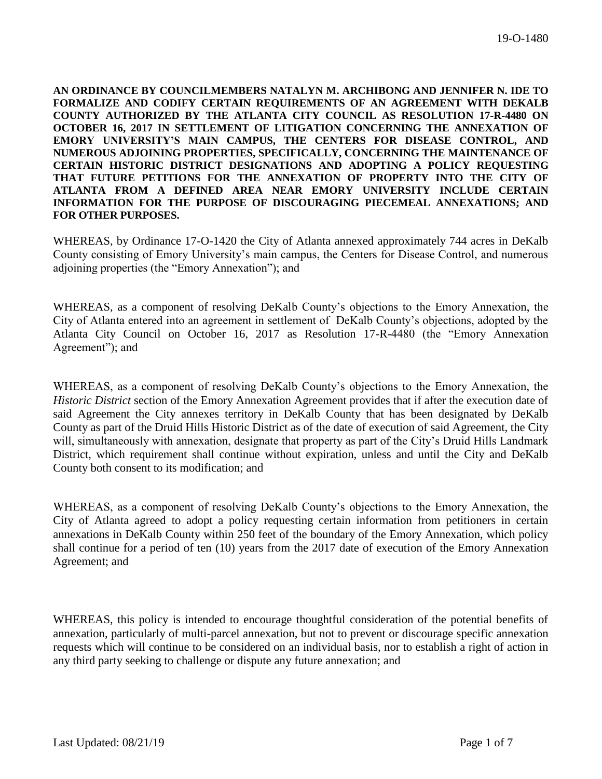**AN ORDINANCE BY COUNCILMEMBERS NATALYN M. ARCHIBONG AND JENNIFER N. IDE TO FORMALIZE AND CODIFY CERTAIN REQUIREMENTS OF AN AGREEMENT WITH DEKALB COUNTY AUTHORIZED BY THE ATLANTA CITY COUNCIL AS RESOLUTION 17-R-4480 ON OCTOBER 16, 2017 IN SETTLEMENT OF LITIGATION CONCERNING THE ANNEXATION OF EMORY UNIVERSITY'S MAIN CAMPUS, THE CENTERS FOR DISEASE CONTROL, AND NUMEROUS ADJOINING PROPERTIES, SPECIFICALLY, CONCERNING THE MAINTENANCE OF CERTAIN HISTORIC DISTRICT DESIGNATIONS AND ADOPTING A POLICY REQUESTING THAT FUTURE PETITIONS FOR THE ANNEXATION OF PROPERTY INTO THE CITY OF ATLANTA FROM A DEFINED AREA NEAR EMORY UNIVERSITY INCLUDE CERTAIN INFORMATION FOR THE PURPOSE OF DISCOURAGING PIECEMEAL ANNEXATIONS; AND FOR OTHER PURPOSES.**

WHEREAS, by Ordinance 17-O-1420 the City of Atlanta annexed approximately 744 acres in DeKalb County consisting of Emory University's main campus, the Centers for Disease Control, and numerous adjoining properties (the "Emory Annexation"); and

WHEREAS, as a component of resolving DeKalb County's objections to the Emory Annexation, the City of Atlanta entered into an agreement in settlement of DeKalb County's objections, adopted by the Atlanta City Council on October 16, 2017 as Resolution 17-R-4480 (the "Emory Annexation Agreement"); and

WHEREAS, as a component of resolving DeKalb County's objections to the Emory Annexation, the *Historic District* section of the Emory Annexation Agreement provides that if after the execution date of said Agreement the City annexes territory in DeKalb County that has been designated by DeKalb County as part of the Druid Hills Historic District as of the date of execution of said Agreement, the City will, simultaneously with annexation, designate that property as part of the City's Druid Hills Landmark District, which requirement shall continue without expiration, unless and until the City and DeKalb County both consent to its modification; and

WHEREAS, as a component of resolving DeKalb County's objections to the Emory Annexation, the City of Atlanta agreed to adopt a policy requesting certain information from petitioners in certain annexations in DeKalb County within 250 feet of the boundary of the Emory Annexation, which policy shall continue for a period of ten (10) years from the 2017 date of execution of the Emory Annexation Agreement; and

WHEREAS, this policy is intended to encourage thoughtful consideration of the potential benefits of annexation, particularly of multi-parcel annexation, but not to prevent or discourage specific annexation requests which will continue to be considered on an individual basis, nor to establish a right of action in any third party seeking to challenge or dispute any future annexation; and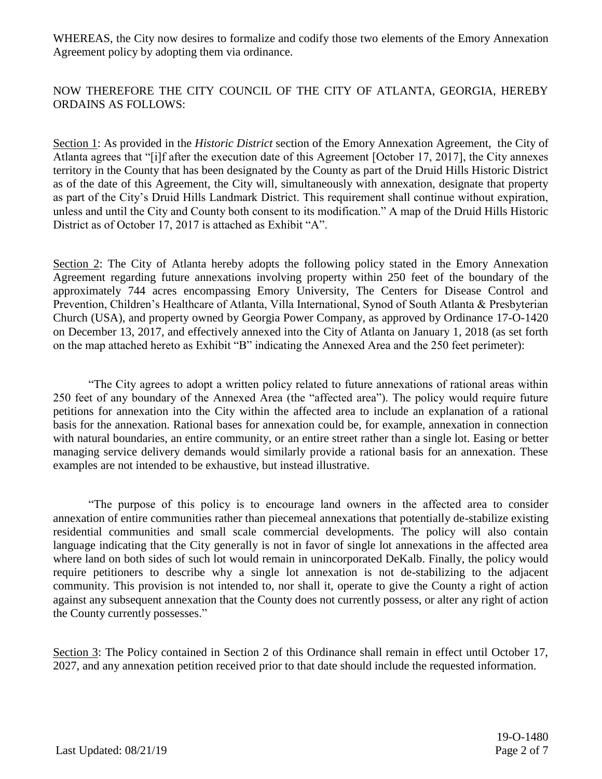WHEREAS, the City now desires to formalize and codify those two elements of the Emory Annexation Agreement policy by adopting them via ordinance.

NOW THEREFORE THE CITY COUNCIL OF THE CITY OF ATLANTA, GEORGIA, HEREBY ORDAINS AS FOLLOWS:

Section 1: As provided in the *Historic District* section of the Emory Annexation Agreement, the City of Atlanta agrees that "[i]f after the execution date of this Agreement [October 17, 2017], the City annexes territory in the County that has been designated by the County as part of the Druid Hills Historic District as of the date of this Agreement, the City will, simultaneously with annexation, designate that property as part of the City's Druid Hills Landmark District. This requirement shall continue without expiration, unless and until the City and County both consent to its modification." A map of the Druid Hills Historic District as of October 17, 2017 is attached as Exhibit "A".

Section 2: The City of Atlanta hereby adopts the following policy stated in the Emory Annexation Agreement regarding future annexations involving property within 250 feet of the boundary of the approximately 744 acres encompassing Emory University, The Centers for Disease Control and Prevention, Children's Healthcare of Atlanta, Villa International, Synod of South Atlanta & Presbyterian Church (USA), and property owned by Georgia Power Company, as approved by Ordinance 17-O-1420 on December 13, 2017, and effectively annexed into the City of Atlanta on January 1, 2018 (as set forth on the map attached hereto as Exhibit "B" indicating the Annexed Area and the 250 feet perimeter):

"The City agrees to adopt a written policy related to future annexations of rational areas within 250 feet of any boundary of the Annexed Area (the "affected area"). The policy would require future petitions for annexation into the City within the affected area to include an explanation of a rational basis for the annexation. Rational bases for annexation could be, for example, annexation in connection with natural boundaries, an entire community, or an entire street rather than a single lot. Easing or better managing service delivery demands would similarly provide a rational basis for an annexation. These examples are not intended to be exhaustive, but instead illustrative.

"The purpose of this policy is to encourage land owners in the affected area to consider annexation of entire communities rather than piecemeal annexations that potentially de-stabilize existing residential communities and small scale commercial developments. The policy will also contain language indicating that the City generally is not in favor of single lot annexations in the affected area where land on both sides of such lot would remain in unincorporated DeKalb. Finally, the policy would require petitioners to describe why a single lot annexation is not de-stabilizing to the adjacent community. This provision is not intended to, nor shall it, operate to give the County a right of action against any subsequent annexation that the County does not currently possess, or alter any right of action the County currently possesses."

Section 3: The Policy contained in Section 2 of this Ordinance shall remain in effect until October 17, 2027, and any annexation petition received prior to that date should include the requested information.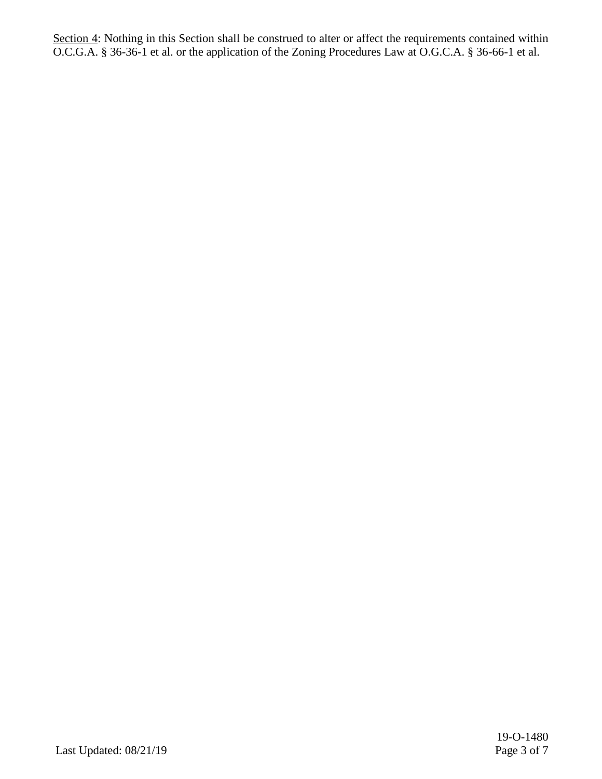Section 4: Nothing in this Section shall be construed to alter or affect the requirements contained within O.C.G.A. § 36-36-1 et al. or the application of the Zoning Procedures Law at O.G.C.A. § 36-66-1 et al.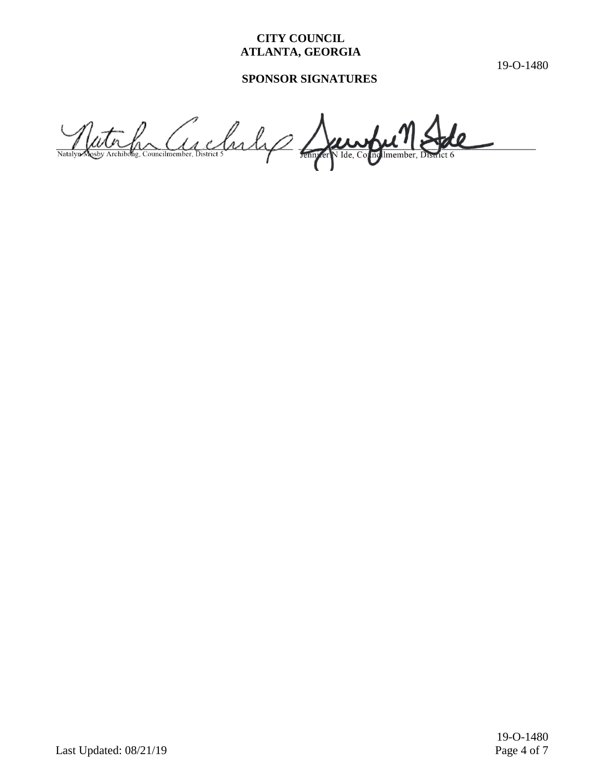## **CITY COUNCIL ATLANTA, GEORGIA**

19-O-1480

# **SPONSOR SIGNATURES**

Nutre Comptetion de Carles de Imember, V Ide, Co mg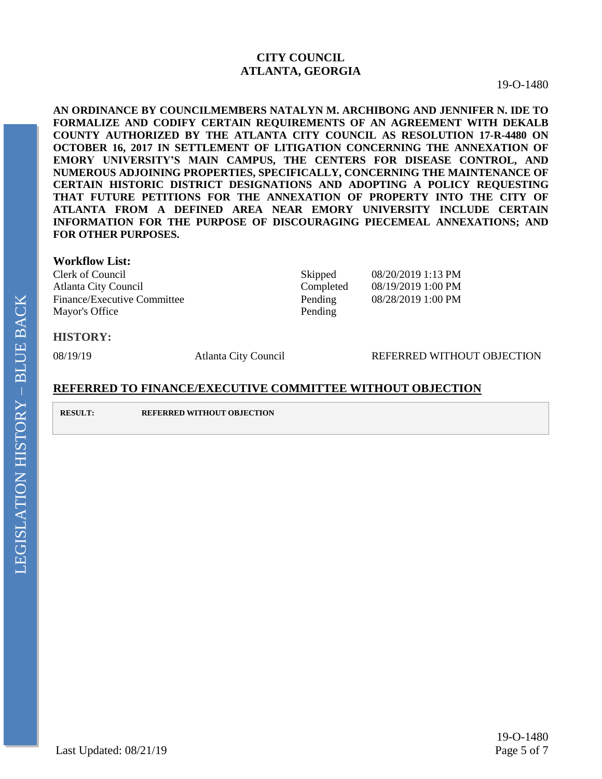### **CITY COUNCIL ATLANTA, GEORGIA**

19-O-1480

**AN ORDINANCE BY COUNCILMEMBERS NATALYN M. ARCHIBONG AND JENNIFER N. IDE TO FORMALIZE AND CODIFY CERTAIN REQUIREMENTS OF AN AGREEMENT WITH DEKALB COUNTY AUTHORIZED BY THE ATLANTA CITY COUNCIL AS RESOLUTION 17-R-4480 ON OCTOBER 16, 2017 IN SETTLEMENT OF LITIGATION CONCERNING THE ANNEXATION OF EMORY UNIVERSITY'S MAIN CAMPUS, THE CENTERS FOR DISEASE CONTROL, AND NUMEROUS ADJOINING PROPERTIES, SPECIFICALLY, CONCERNING THE MAINTENANCE OF CERTAIN HISTORIC DISTRICT DESIGNATIONS AND ADOPTING A POLICY REQUESTING THAT FUTURE PETITIONS FOR THE ANNEXATION OF PROPERTY INTO THE CITY OF ATLANTA FROM A DEFINED AREA NEAR EMORY UNIVERSITY INCLUDE CERTAIN INFORMATION FOR THE PURPOSE OF DISCOURAGING PIECEMEAL ANNEXATIONS; AND FOR OTHER PURPOSES.**

#### **Workflow List:**

Clerk of Council Skipped 08/20/2019 1:13 PM Atlanta City Council **Completed** 08/19/2019 1:00 PM Finance/Executive Committee Pending 08/28/2019 1:00 PM Mayor's Office Pending

#### **HISTORY:**

08/19/19 • **Atlanta City Council Atlanta City Council REFERRED WITHOUT OBJECTION** 

### **REFERRED TO FINANCE/EXECUTIVE COMMITTEE WITHOUT OBJECTION**

**RESULT: REFERRED WITHOUT OBJECTION**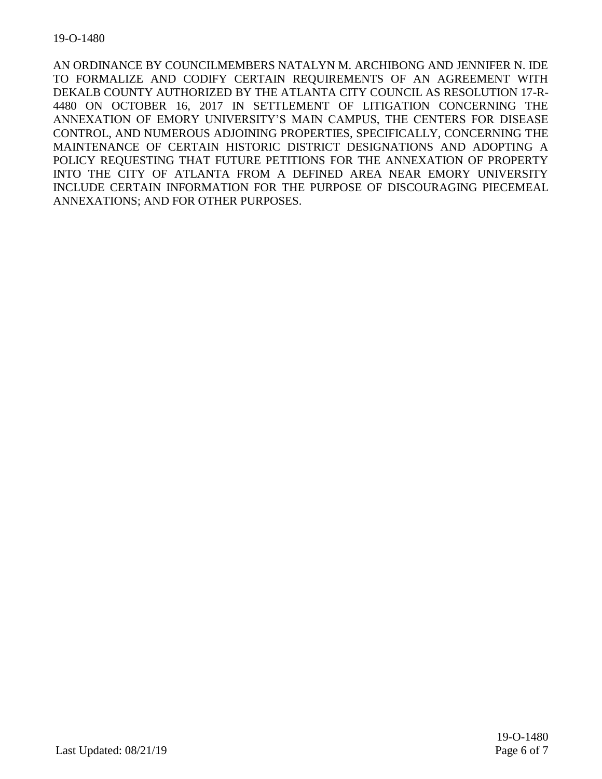AN ORDINANCE BY COUNCILMEMBERS NATALYN M. ARCHIBONG AND JENNIFER N. IDE TO FORMALIZE AND CODIFY CERTAIN REQUIREMENTS OF AN AGREEMENT WITH DEKALB COUNTY AUTHORIZED BY THE ATLANTA CITY COUNCIL AS RESOLUTION 17-R-4480 ON OCTOBER 16, 2017 IN SETTLEMENT OF LITIGATION CONCERNING THE ANNEXATION OF EMORY UNIVERSITY'S MAIN CAMPUS, THE CENTERS FOR DISEASE CONTROL, AND NUMEROUS ADJOINING PROPERTIES, SPECIFICALLY, CONCERNING THE MAINTENANCE OF CERTAIN HISTORIC DISTRICT DESIGNATIONS AND ADOPTING A POLICY REQUESTING THAT FUTURE PETITIONS FOR THE ANNEXATION OF PROPERTY INTO THE CITY OF ATLANTA FROM A DEFINED AREA NEAR EMORY UNIVERSITY INCLUDE CERTAIN INFORMATION FOR THE PURPOSE OF DISCOURAGING PIECEMEAL ANNEXATIONS; AND FOR OTHER PURPOSES.